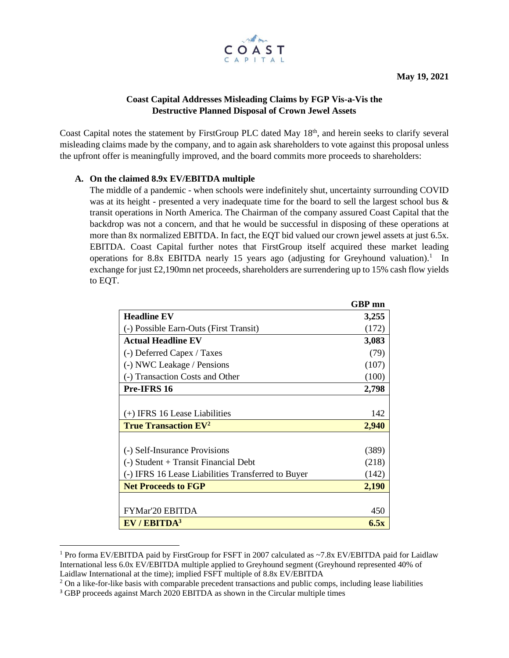

# **Coast Capital Addresses Misleading Claims by FGP Vis-a-Vis the Destructive Planned Disposal of Crown Jewel Assets**

Coast Capital notes the statement by FirstGroup PLC dated May 18th, and herein seeks to clarify several misleading claims made by the company, and to again ask shareholders to vote against this proposal unless the upfront offer is meaningfully improved, and the board commits more proceeds to shareholders:

## **A. On the claimed 8.9x EV/EBITDA multiple**

The middle of a pandemic - when schools were indefinitely shut, uncertainty surrounding COVID was at its height - presented a very inadequate time for the board to sell the largest school bus & transit operations in North America. The Chairman of the company assured Coast Capital that the backdrop was not a concern, and that he would be successful in disposing of these operations at more than 8x normalized EBITDA. In fact, the EQT bid valued our crown jewel assets at just 6.5x. EBITDA. Coast Capital further notes that FirstGroup itself acquired these market leading operations for 8.8x EBITDA nearly 15 years ago (adjusting for Greyhound valuation).<sup>1</sup> In exchange for just £2,190mn net proceeds, shareholders are surrendering up to 15% cash flow yields to EQT.

|                                                    | <b>GBP</b> mn |
|----------------------------------------------------|---------------|
| <b>Headline EV</b>                                 | 3,255         |
| (-) Possible Earn-Outs (First Transit)             | (172)         |
| <b>Actual Headline EV</b>                          | 3,083         |
| (-) Deferred Capex / Taxes                         | (79)          |
| (-) NWC Leakage / Pensions                         | (107)         |
| (-) Transaction Costs and Other                    | (100)         |
| Pre-IFRS 16                                        | 2,798         |
|                                                    |               |
| (+) IFRS 16 Lease Liabilities                      | 142           |
| <b>True Transaction EV<sup>2</sup></b>             | 2,940         |
|                                                    |               |
| (-) Self-Insurance Provisions                      | (389)         |
| (-) Student + Transit Financial Debt               | (218)         |
| (-) IFRS 16 Lease Liabilities Transferred to Buyer | (142)         |
| <b>Net Proceeds to FGP</b>                         | 2,190         |
|                                                    |               |
| FYMar'20 EBITDA                                    | 450           |
| EV/EBITDA <sup>3</sup>                             | 6.5x          |

<sup>&</sup>lt;sup>1</sup> Pro forma EV/EBITDA paid by FirstGroup for FSFT in 2007 calculated as ~7.8x EV/EBITDA paid for Laidlaw International less 6.0x EV/EBITDA multiple applied to Greyhound segment (Greyhound represented 40% of Laidlaw International at the time); implied FSFT multiple of 8.8x EV/EBITDA

<sup>&</sup>lt;sup>2</sup> On a like-for-like basis with comparable precedent transactions and public comps, including lease liabilities

<sup>&</sup>lt;sup>3</sup> GBP proceeds against March 2020 EBITDA as shown in the Circular multiple times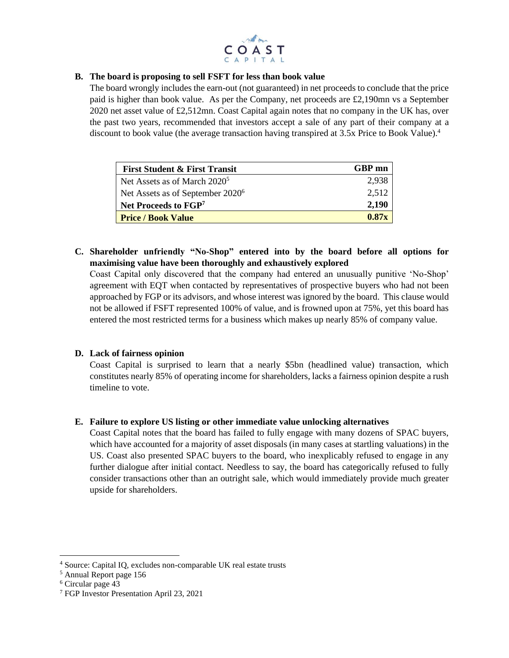

### **B. The board is proposing to sell FSFT for less than book value**

The board wrongly includes the earn-out (not guaranteed) in net proceeds to conclude that the price paid is higher than book value. As per the Company, net proceeds are £2,190mn vs a September 2020 net asset value of £2,512mn. Coast Capital again notes that no company in the UK has, over the past two years, recommended that investors accept a sale of any part of their company at a discount to book value (the average transaction having transpired at 3.5x Price to Book Value).<sup>4</sup>

| <b>First Student &amp; First Transit</b>     | GBP mn |
|----------------------------------------------|--------|
| Net Assets as of March 2020 <sup>5</sup>     | 2.938  |
| Net Assets as of September 2020 <sup>6</sup> | 2,512  |
| Net Proceeds to FGP <sup>7</sup>             | 2,190  |
| <b>Price / Book Value</b>                    | 0.87x  |

# **C. Shareholder unfriendly "No-Shop" entered into by the board before all options for maximising value have been thoroughly and exhaustively explored**

Coast Capital only discovered that the company had entered an unusually punitive 'No-Shop' agreement with EQT when contacted by representatives of prospective buyers who had not been approached by FGP or its advisors, and whose interest was ignored by the board. This clause would not be allowed if FSFT represented 100% of value, and is frowned upon at 75%, yet this board has entered the most restricted terms for a business which makes up nearly 85% of company value.

### **D. Lack of fairness opinion**

Coast Capital is surprised to learn that a nearly \$5bn (headlined value) transaction, which constitutes nearly 85% of operating income for shareholders, lacks a fairness opinion despite a rush timeline to vote.

### **E. Failure to explore US listing or other immediate value unlocking alternatives**

Coast Capital notes that the board has failed to fully engage with many dozens of SPAC buyers, which have accounted for a majority of asset disposals (in many cases at startling valuations) in the US. Coast also presented SPAC buyers to the board, who inexplicably refused to engage in any further dialogue after initial contact. Needless to say, the board has categorically refused to fully consider transactions other than an outright sale, which would immediately provide much greater upside for shareholders.

<sup>4</sup> Source: Capital IQ, excludes non-comparable UK real estate trusts

<sup>5</sup> Annual Report page 156

<sup>&</sup>lt;sup>6</sup> Circular page 43

<sup>7</sup> FGP Investor Presentation April 23, 2021